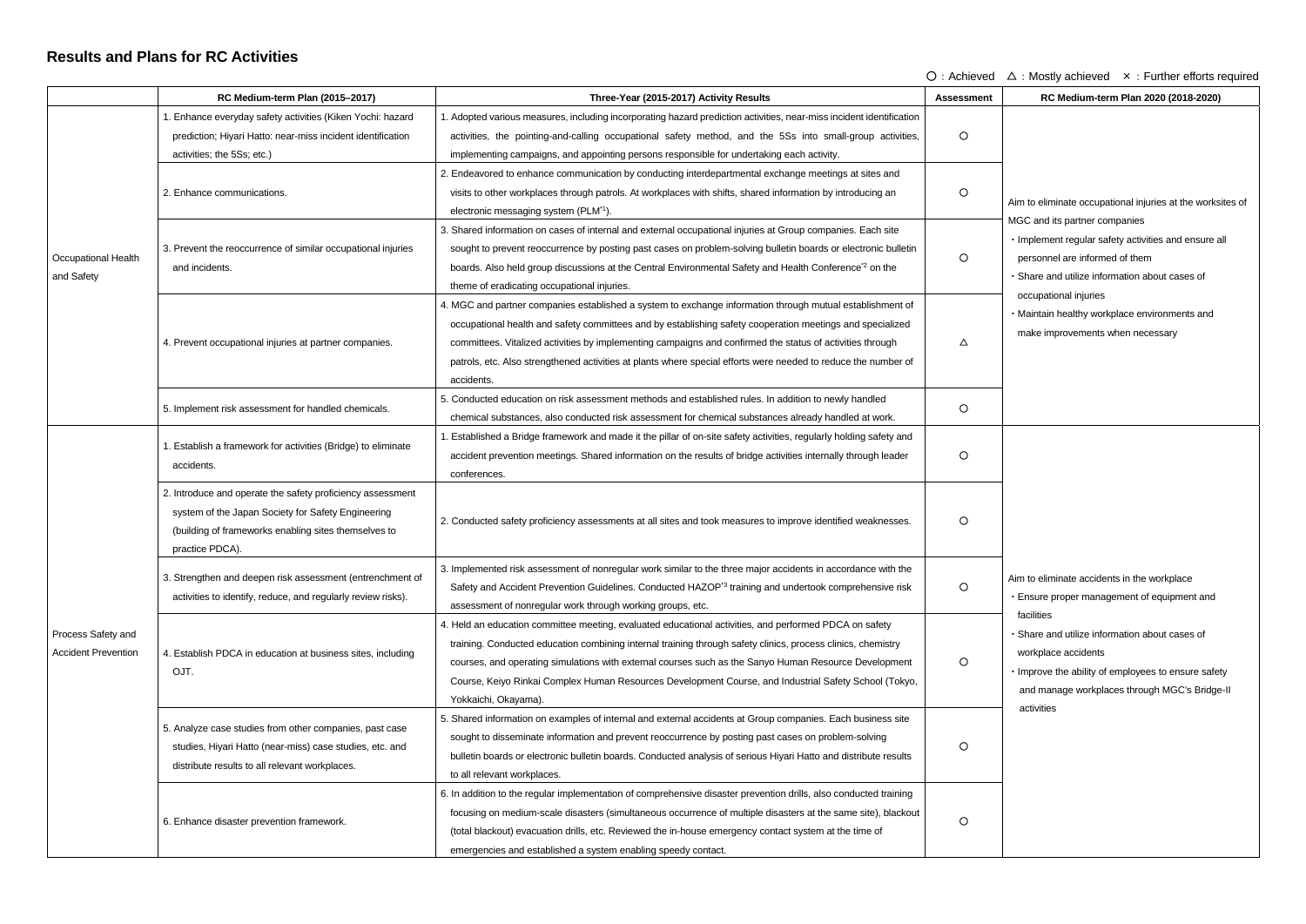## **Results and Plans for RC Activities**

| RC Medium-term Plan 2020 (2018-2020)                                                                                                                                                                                                                                                    |
|-----------------------------------------------------------------------------------------------------------------------------------------------------------------------------------------------------------------------------------------------------------------------------------------|
| Aim to eliminate occupational injuries at the worksites of                                                                                                                                                                                                                              |
| MGC and its partner companies<br>· Implement regular safety activities and ensure all<br>personnel are informed of them<br>· Share and utilize information about cases of<br>occupational injuries<br>· Maintain healthy workplace environments and<br>make improvements when necessary |
|                                                                                                                                                                                                                                                                                         |
|                                                                                                                                                                                                                                                                                         |
|                                                                                                                                                                                                                                                                                         |
| Aim to eliminate accidents in the workplace<br>· Ensure proper management of equipment and                                                                                                                                                                                              |
| facilities<br>• Share and utilize information about cases of<br>workplace accidents<br>· Improve the ability of employees to ensure safety<br>and manage workplaces through MGC's Bridge-II<br>activities                                                                               |
|                                                                                                                                                                                                                                                                                         |
|                                                                                                                                                                                                                                                                                         |

## O : Achieved △ : Mostly achieved × : Further efforts required

|                                                  | RC Medium-term Plan (2015-2017)                                                                                                                                                             | Three-Year (2015-2017) Activity Results                                                                                                                                                                                                                                                                                                                                                                                                                             | <b>Assessment</b> | RC Medium-term Plan 2020 (2018-2020)                                                                                                                                                                                                                                                  |
|--------------------------------------------------|---------------------------------------------------------------------------------------------------------------------------------------------------------------------------------------------|---------------------------------------------------------------------------------------------------------------------------------------------------------------------------------------------------------------------------------------------------------------------------------------------------------------------------------------------------------------------------------------------------------------------------------------------------------------------|-------------------|---------------------------------------------------------------------------------------------------------------------------------------------------------------------------------------------------------------------------------------------------------------------------------------|
| Occupational Health<br>and Safety                | 1. Enhance everyday safety activities (Kiken Yochi: hazard<br>prediction; Hiyari Hatto: near-miss incident identification<br>activities; the 5Ss; etc.)                                     | 1. Adopted various measures, including incorporating hazard prediction activities, near-miss incident identification<br>activities, the pointing-and-calling occupational safety method, and the 5Ss into small-group activities,<br>implementing campaigns, and appointing persons responsible for undertaking each activity.                                                                                                                                      | $\circ$           |                                                                                                                                                                                                                                                                                       |
|                                                  | 2. Enhance communications.                                                                                                                                                                  | 2. Endeavored to enhance communication by conducting interdepartmental exchange meetings at sites and<br>visits to other workplaces through patrols. At workplaces with shifts, shared information by introducing an<br>electronic messaging system (PLM <sup>*1</sup> ).                                                                                                                                                                                           | $\circ$           | Aim to eliminate occupational injuries at the worksi                                                                                                                                                                                                                                  |
|                                                  | 3. Prevent the reoccurrence of similar occupational injuries<br>and incidents.                                                                                                              | 3. Shared information on cases of internal and external occupational injuries at Group companies. Each site<br>sought to prevent reoccurrence by posting past cases on problem-solving bulletin boards or electronic bulletin<br>boards. Also held group discussions at the Central Environmental Safety and Health Conference <sup>2</sup> on the<br>theme of eradicating occupational injuries.                                                                   | $\circ$           | MGC and its partner companies<br>· Implement regular safety activities and ensure a<br>personnel are informed of them<br>· Share and utilize information about cases of<br>occupational injuries<br>· Maintain healthy workplace environments and<br>make improvements when necessary |
|                                                  | 4. Prevent occupational injuries at partner companies.                                                                                                                                      | 4. MGC and partner companies established a system to exchange information through mutual establishment of<br>occupational health and safety committees and by establishing safety cooperation meetings and specialized<br>committees. Vitalized activities by implementing campaigns and confirmed the status of activities through<br>patrols, etc. Also strengthened activities at plants where special efforts were needed to reduce the number of<br>accidents. | Δ                 |                                                                                                                                                                                                                                                                                       |
|                                                  | 5. Implement risk assessment for handled chemicals.                                                                                                                                         | 5. Conducted education on risk assessment methods and established rules. In addition to newly handled<br>chemical substances, also conducted risk assessment for chemical substances already handled at work.                                                                                                                                                                                                                                                       | $\circ$           |                                                                                                                                                                                                                                                                                       |
| Process Safety and<br><b>Accident Prevention</b> | . Establish a framework for activities (Bridge) to eliminate<br>accidents.                                                                                                                  | . Established a Bridge framework and made it the pillar of on-site safety activities, regularly holding safety and<br>accident prevention meetings. Shared information on the results of bridge activities internally through leader<br>conferences.                                                                                                                                                                                                                | $\circ$           |                                                                                                                                                                                                                                                                                       |
|                                                  | 2. Introduce and operate the safety proficiency assessment<br>system of the Japan Society for Safety Engineering<br>(building of frameworks enabling sites themselves to<br>practice PDCA). | 2. Conducted safety proficiency assessments at all sites and took measures to improve identified weaknesses.                                                                                                                                                                                                                                                                                                                                                        | $\circ$           |                                                                                                                                                                                                                                                                                       |
|                                                  | 3. Strengthen and deepen risk assessment (entrenchment of<br>activities to identify, reduce, and regularly review risks).                                                                   | 3. Implemented risk assessment of nonregular work similar to the three major accidents in accordance with the<br>Safety and Accident Prevention Guidelines. Conducted HAZOP <sup>*3</sup> training and undertook comprehensive risk<br>assessment of nonregular work through working groups, etc.                                                                                                                                                                   | $\circ$           | Aim to eliminate accidents in the workplace<br>· Ensure proper management of equipment and<br>facilities<br>· Share and utilize information about cases of<br>workplace accidents<br>Improve the ability of employees to ensure safet<br>and manage workplaces through MGC's Bridge   |
|                                                  | 4. Establish PDCA in education at business sites, including<br>OJT.                                                                                                                         | 4. Held an education committee meeting, evaluated educational activities, and performed PDCA on safety<br>training. Conducted education combining internal training through safety clinics, process clinics, chemistry<br>courses, and operating simulations with external courses such as the Sanyo Human Resource Development<br>Course, Keiyo Rinkai Complex Human Resources Development Course, and Industrial Safety School (Tokyo,<br>Yokkaichi, Okayama).    | $\circ$           |                                                                                                                                                                                                                                                                                       |
|                                                  | 5. Analyze case studies from other companies, past case<br>studies, Hiyari Hatto (near-miss) case studies, etc. and<br>distribute results to all relevant workplaces.                       | 5. Shared information on examples of internal and external accidents at Group companies. Each business site<br>sought to disseminate information and prevent reoccurrence by posting past cases on problem-solving<br>bulletin boards or electronic bulletin boards. Conducted analysis of serious Hiyari Hatto and distribute results<br>to all relevant workplaces.                                                                                               | $\circ$           | activities                                                                                                                                                                                                                                                                            |
|                                                  | 6. Enhance disaster prevention framework.                                                                                                                                                   | 6. In addition to the regular implementation of comprehensive disaster prevention drills, also conducted training<br>focusing on medium-scale disasters (simultaneous occurrence of multiple disasters at the same site), blackout<br>(total blackout) evacuation drills, etc. Reviewed the in-house emergency contact system at the time of<br>emergencies and established a system enabling speedy contact.                                                       | $\circ$           |                                                                                                                                                                                                                                                                                       |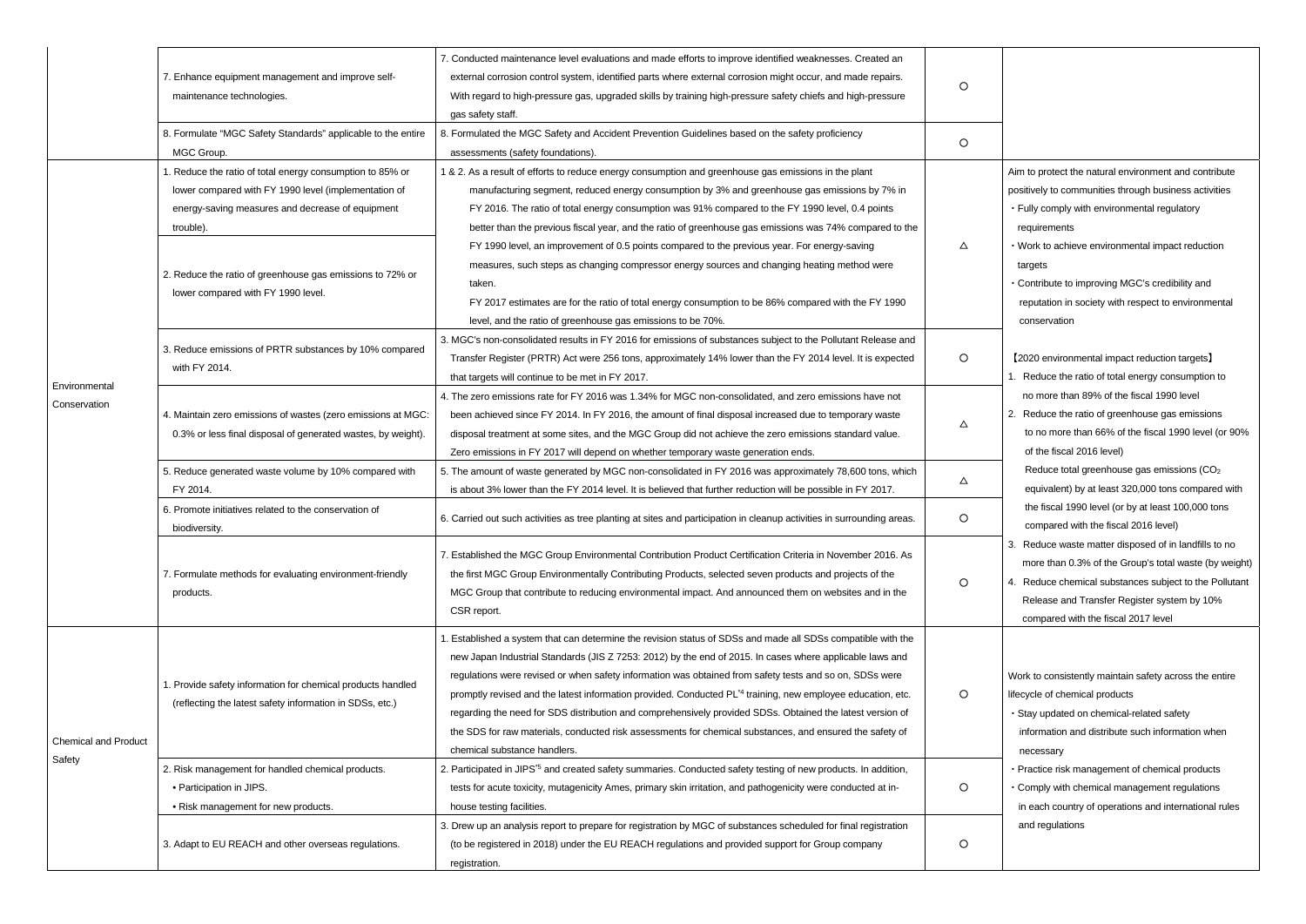- 1. Reduce the ratio of total energy consumption to no more than 89% of the fiscal 1990 level
- 2. Reduce the ratio of greenhouse gas emissions to no more than 66% of the fiscal 1990 level (or 90% of the fiscal 2016 level)

- 3. Reduce waste matter disposed of in landfills to no more than 0.3% of the Group's total waste (by weight)
- 4. Reduce chemical substances subject to the Pollutant Release and Transfer Register system by 10% compared with the fiscal 2017 level

Aim to protect the natural environment and contribute positively to communities through business activities

- ・Fully comply with environmental regulatory requirements
- ・Work to achieve environmental impact reduction targets
- ・Contribute to improving MGC's credibility and reputation in society with respect to environmental conservation

【2020 environmental impact reduction targets】

Reduce total greenhouse gas emissions (CO2 equivalent) by at least 320,000 tons compared with the fiscal 1990 level (or by at least 100,000 tons compared with the fiscal 2016 level)

|                               | 7. Enhance equipment management and improve self-<br>maintenance technologies.                                                                                                                                                                                                        | 7. Conducted maintenance level evaluations and made efforts to improve identified weaknesses. Created an<br>external corrosion control system, identified parts where external corrosion might occur, and made repairs.<br>With regard to high-pressure gas, upgraded skills by training high-pressure safety chiefs and high-pressure<br>gas safety staff.                                                                                                                                                                                                                                                                                                                                                                                                                                         | $\circ$ |
|-------------------------------|---------------------------------------------------------------------------------------------------------------------------------------------------------------------------------------------------------------------------------------------------------------------------------------|-----------------------------------------------------------------------------------------------------------------------------------------------------------------------------------------------------------------------------------------------------------------------------------------------------------------------------------------------------------------------------------------------------------------------------------------------------------------------------------------------------------------------------------------------------------------------------------------------------------------------------------------------------------------------------------------------------------------------------------------------------------------------------------------------------|---------|
|                               | 8. Formulate "MGC Safety Standards" applicable to the entire<br>MGC Group.                                                                                                                                                                                                            | 8. Formulated the MGC Safety and Accident Prevention Guidelines based on the safety proficiency<br>assessments (safety foundations).                                                                                                                                                                                                                                                                                                                                                                                                                                                                                                                                                                                                                                                                | $\circ$ |
|                               | 1. Reduce the ratio of total energy consumption to 85% or<br>lower compared with FY 1990 level (implementation of<br>energy-saving measures and decrease of equipment<br>trouble).<br>2. Reduce the ratio of greenhouse gas emissions to 72% or<br>lower compared with FY 1990 level. | 1 & 2. As a result of efforts to reduce energy consumption and greenhouse gas emissions in the plant<br>manufacturing segment, reduced energy consumption by 3% and greenhouse gas emissions by 7% in<br>FY 2016. The ratio of total energy consumption was 91% compared to the FY 1990 level, 0.4 points<br>better than the previous fiscal year, and the ratio of greenhouse gas emissions was 74% compared to the<br>FY 1990 level, an improvement of 0.5 points compared to the previous year. For energy-saving<br>measures, such steps as changing compressor energy sources and changing heating method were<br>taken.<br>FY 2017 estimates are for the ratio of total energy consumption to be 86% compared with the FY 1990<br>level, and the ratio of greenhouse gas emissions to be 70%. | Δ       |
|                               | 3. Reduce emissions of PRTR substances by 10% compared<br>with FY 2014.                                                                                                                                                                                                               | 3. MGC's non-consolidated results in FY 2016 for emissions of substances subject to the Pollutant Release and<br>Transfer Register (PRTR) Act were 256 tons, approximately 14% lower than the FY 2014 level. It is expected<br>that targets will continue to be met in FY 2017.                                                                                                                                                                                                                                                                                                                                                                                                                                                                                                                     | $\circ$ |
| Environmental<br>Conservation | 4. Maintain zero emissions of wastes (zero emissions at MGC:<br>0.3% or less final disposal of generated wastes, by weight).                                                                                                                                                          | 4. The zero emissions rate for FY 2016 was 1.34% for MGC non-consolidated, and zero emissions have not<br>been achieved since FY 2014. In FY 2016, the amount of final disposal increased due to temporary waste<br>disposal treatment at some sites, and the MGC Group did not achieve the zero emissions standard value.<br>Zero emissions in FY 2017 will depend on whether temporary waste generation ends.                                                                                                                                                                                                                                                                                                                                                                                     | Δ       |
|                               | 5. Reduce generated waste volume by 10% compared with<br>FY 2014.                                                                                                                                                                                                                     | 5. The amount of waste generated by MGC non-consolidated in FY 2016 was approximately 78,600 tons, which<br>is about 3% lower than the FY 2014 level. It is believed that further reduction will be possible in FY 2017.                                                                                                                                                                                                                                                                                                                                                                                                                                                                                                                                                                            | Δ       |
|                               | 6. Promote initiatives related to the conservation of<br>biodiversity.                                                                                                                                                                                                                | 6. Carried out such activities as tree planting at sites and participation in cleanup activities in surrounding areas.                                                                                                                                                                                                                                                                                                                                                                                                                                                                                                                                                                                                                                                                              | $\circ$ |
|                               | 7. Formulate methods for evaluating environment-friendly<br>products.                                                                                                                                                                                                                 | 7. Established the MGC Group Environmental Contribution Product Certification Criteria in November 2016. As<br>the first MGC Group Environmentally Contributing Products, selected seven products and projects of the<br>MGC Group that contribute to reducing environmental impact. And announced them on websites and in the<br>CSR report.                                                                                                                                                                                                                                                                                                                                                                                                                                                       | $\circ$ |
| <b>Chemical and Product</b>   | 1. Provide safety information for chemical products handled<br>(reflecting the latest safety information in SDSs, etc.)                                                                                                                                                               | 1. Established a system that can determine the revision status of SDSs and made all SDSs compatible with the<br>new Japan Industrial Standards (JIS Z 7253: 2012) by the end of 2015. In cases where applicable laws and<br>regulations were revised or when safety information was obtained from safety tests and so on, SDSs were<br>promptly revised and the latest information provided. Conducted PL <sup>*4</sup> training, new employee education, etc.<br>regarding the need for SDS distribution and comprehensively provided SDSs. Obtained the latest version of<br>the SDS for raw materials, conducted risk assessments for chemical substances, and ensured the safety of<br>chemical substance handlers.                                                                             | $\circ$ |
| Safety                        | 2. Risk management for handled chemical products.<br>• Participation in JIPS.<br>• Risk management for new products.                                                                                                                                                                  | 2. Participated in JIPS'5 and created safety summaries. Conducted safety testing of new products. In addition,<br>tests for acute toxicity, mutagenicity Ames, primary skin irritation, and pathogenicity were conducted at in-<br>house testing facilities.                                                                                                                                                                                                                                                                                                                                                                                                                                                                                                                                        | $\circ$ |
|                               | 3. Adapt to EU REACH and other overseas regulations.                                                                                                                                                                                                                                  | 3. Drew up an analysis report to prepare for registration by MGC of substances scheduled for final registration<br>(to be registered in 2018) under the EU REACH regulations and provided support for Group company<br>registration.                                                                                                                                                                                                                                                                                                                                                                                                                                                                                                                                                                | O       |

Work to consistently maintain safety across the entire lifecycle of chemical products

- ・Stay updated on chemical-related safety information and distribute such information when necessary
- ・Practice risk management of chemical products
- ・Comply with chemical management regulations in each country of operations and international rules and regulations